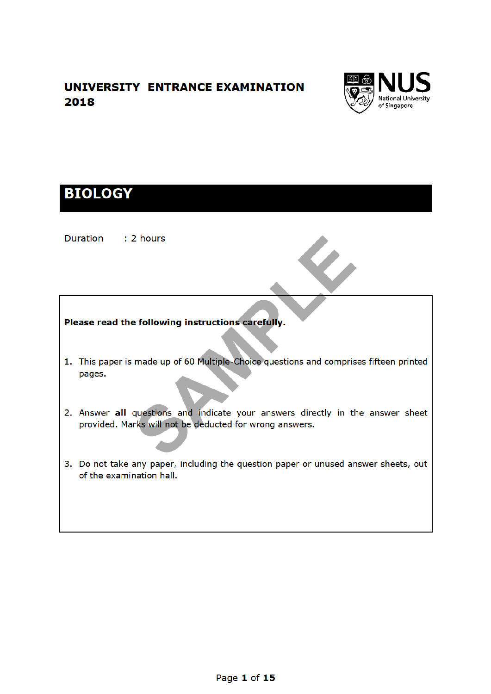## UNIVERSITY ENTRANCE EXAMINATION 2018



# **BIOLOGY**

Duration : 2 hours

Please read the following instructions carefully.

- 1. This paper is made up of 60 Multiple-Choice questions and comprises fifteen printed pages.
- 2. Answer all questions and indicate your answers directly in the answer sheet provided. Marks will not be deducted for wrong answers.
- 3. Do not take any paper, including the question paper or unused answer sheets, out of the examination hall.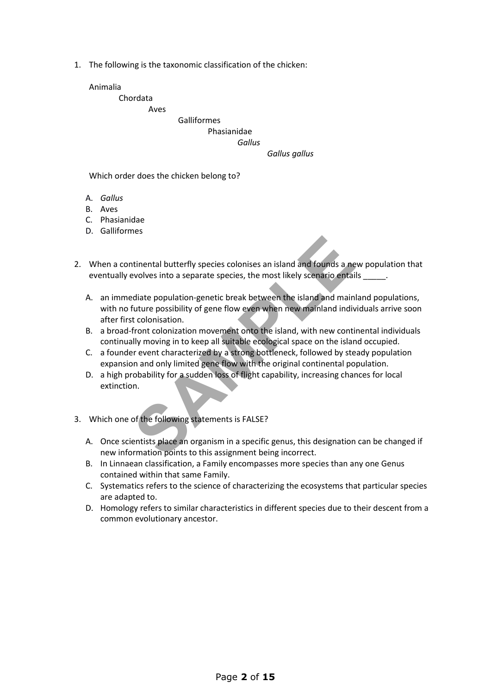1. The following is the taxonomic classification of the chicken:

Animalia

Chordata

Aves

#### Galliformes Phasianidae

### *Gallus*

#### *Gallus gallus*

Which order does the chicken belong to?

- A. *Gallus*
- B. Aves
- C. Phasianidae
- D. Galliformes
- 2. When a continental butterfly species colonises an island and founds a new population that eventually evolves into a separate species, the most likely scenario entails
- tinental butterfly species colonises an island and founds a new<br>olves into a separate species, the most likely scenario entail<br>diate population-genetic break between the island and main<br>future possibility of gene flow even A. an immediate population-genetic break between the island and mainland populations, with no future possibility of gene flow even when new mainland individuals arrive soon after first colonisation.
	- B. a broad-front colonization movement onto the island, with new continental individuals continually moving in to keep all suitable ecological space on the island occupied.
	- C. a founder event characterized by a strong bottleneck, followed by steady population expansion and only limited gene flow with the original continental population.
	- D. a high probability for a sudden loss of flight capability, increasing chances for local extinction.
- 3. Which one of the following statements is FALSE?
	- A. Once scientists place an organism in a specific genus, this designation can be changed if new information points to this assignment being incorrect.
	- B. In Linnaean classification, a Family encompasses more species than any one Genus contained within that same Family.
	- C. Systematics refers to the science of characterizing the ecosystems that particular species are adapted to.
	- D. Homology refers to similar characteristics in different species due to their descent from a common evolutionary ancestor.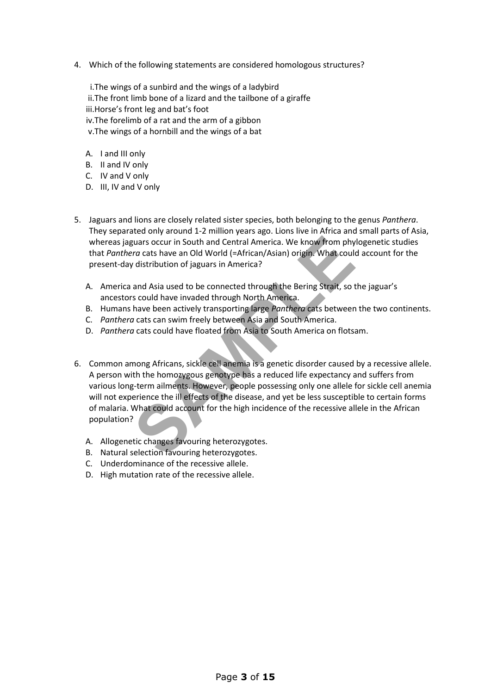4. Which of the following statements are considered homologous structures?

i.The wings of a sunbird and the wings of a ladybird ii.The front limb bone of a lizard and the tailbone of a giraffe iii.Horse's front leg and bat's foot iv.The forelimb of a rat and the arm of a gibbon v.The wings of a hornbill and the wings of a bat

- A. I and III only
- B. II and IV only
- C. IV and V only
- D. III, IV and V only
- 5. Jaguars and lions are closely related sister species, both belonging to the genus *Panthera*. They separated only around 1-2 million years ago. Lions live in Africa and small parts of Asia, whereas jaguars occur in South and Central America. We know from phylogenetic studies that *Panthera* cats have an Old World (=African/Asian) origin. What could account for the present-day distribution of jaguars in America?
	- A. America and Asia used to be connected through the Bering Strait, so the jaguar's ancestors could have invaded through North America.
	- B. Humans have been actively transporting large *Panthera* cats between the two continents.
	- C. *Panthera* cats can swim freely between Asia and South America.
	- D. *Panthera* cats could have floated from Asia to South America on flotsam.
- strums occur in South and Central America. We know from phy<br> *Sample and Sample and World (=African/Asian) origin.* What could<br> *Sample and Asia used to be connected through the Bering Strait, so to<br>
sould have invaded thr* 6. Common among Africans, sickle cell anemia is a genetic disorder caused by a recessive allele. A person with the homozygous genotype has a reduced life expectancy and suffers from various long-term ailments. However, people possessing only one allele for sickle cell anemia will not experience the ill effects of the disease, and yet be less susceptible to certain forms of malaria. What could account for the high incidence of the recessive allele in the African population?
	- A. Allogenetic changes favouring heterozygotes.
	- B. Natural selection favouring heterozygotes.
	- C. Underdominance of the recessive allele.
	- D. High mutation rate of the recessive allele.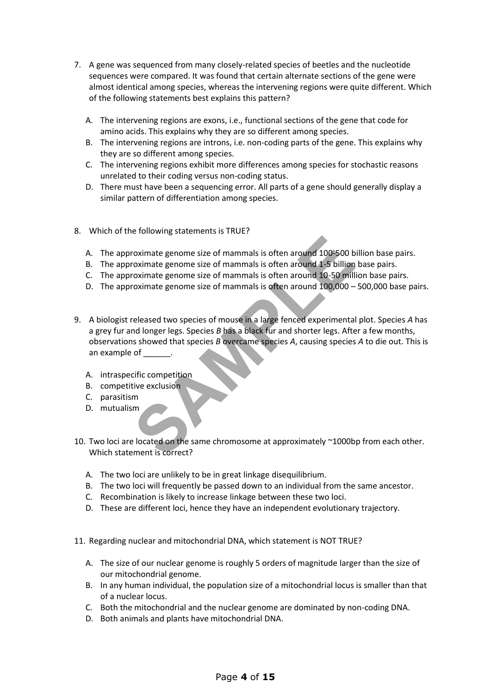- 7. A gene was sequenced from many closely-related species of beetles and the nucleotide sequences were compared. It was found that certain alternate sections of the gene were almost identical among species, whereas the intervening regions were quite different. Which of the following statements best explains this pattern?
	- A. The intervening regions are exons, i.e., functional sections of the gene that code for amino acids. This explains why they are so different among species.
	- B. The intervening regions are introns, i.e. non-coding parts of the gene. This explains why they are so different among species.
	- C. The intervening regions exhibit more differences among species for stochastic reasons unrelated to their coding versus non-coding status.
	- D. There must have been a sequencing error. All parts of a gene should generally display a similar pattern of differentiation among species.
- 8. Which of the following statements is TRUE?
	- A. The approximate genome size of mammals is often around 100-500 billion base pairs.
	- B. The approximate genome size of mammals is often around 1-5 billion base pairs.
	- C. The approximate genome size of mammals is often around 10-50 million base pairs.
	- D. The approximate genome size of mammals is often around 100,000 500,000 base pairs.
- Fractional School and School and School and School and School and School and School and School and School and School and School and School and School and School and School and School and School and School and School and In 9. A biologist released two species of mouse in a large fenced experimental plot. Species *A* has a grey fur and longer legs. Species *B* has a black fur and shorter legs. After a few months, observations showed that species *B* overcame species *A*, causing species *A* to die out. This is an example of \_\_\_\_\_\_.
	- A. intraspecific competition
	- B. competitive exclusion
	- C. parasitism
	- D. mutualism
- 10. Two loci are located on the same chromosome at approximately ~1000bp from each other. Which statement is correct?
	- A. The two loci are unlikely to be in great linkage disequilibrium.
	- B. The two loci will frequently be passed down to an individual from the same ancestor.
	- C. Recombination is likely to increase linkage between these two loci.
	- D. These are different loci, hence they have an independent evolutionary trajectory.
- 11. Regarding nuclear and mitochondrial DNA, which statement is NOT TRUE?
	- A. The size of our nuclear genome is roughly 5 orders of magnitude larger than the size of our mitochondrial genome.
	- B. In any human individual, the population size of a mitochondrial locus is smaller than that of a nuclear locus.
	- C. Both the mitochondrial and the nuclear genome are dominated by non-coding DNA.
	- D. Both animals and plants have mitochondrial DNA.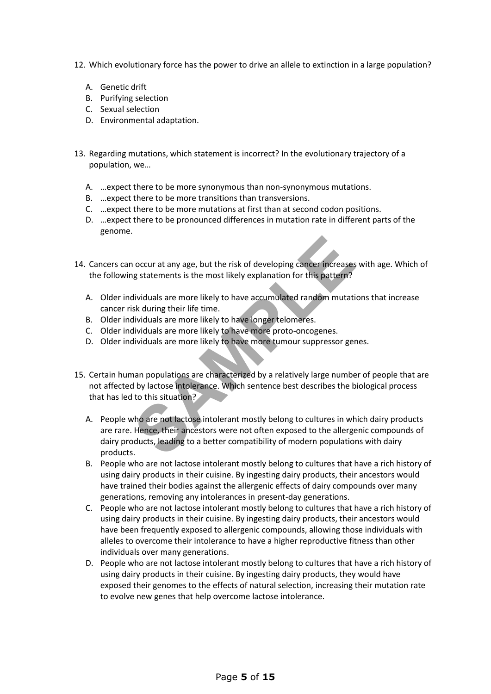- 12. Which evolutionary force has the power to drive an allele to extinction in a large population?
	- A. Genetic drift
	- B. Purifying selection
	- C. Sexual selection
	- D. Environmental adaptation.
- 13. Regarding mutations, which statement is incorrect? In the evolutionary trajectory of a population, we…
	- A. …expect there to be more synonymous than non-synonymous mutations.
	- B. …expect there to be more transitions than transversions.
	- C. …expect there to be more mutations at first than at second codon positions.
	- D. …expect there to be pronounced differences in mutation rate in different parts of the genome.
- 14. Cancers can occur at any age, but the risk of developing cancer increases with age. Which of the following statements is the most likely explanation for this pattern?
	- A. Older individuals are more likely to have accumulated random mutations that increase cancer risk during their life time.
	- B. Older individuals are more likely to have longer telomeres.
	- C. Older individuals are more likely to have more proto-oncogenes.
	- D. Older individuals are more likely to have more tumour suppressor genes.
- 15. Certain human populations are characterized by a relatively large number of people that are not affected by lactose intolerance. Which sentence best describes the biological process that has led to this situation?
- **Solution** and the risk of developing cancer increases<br>
Summer is the most likely explanation for this pattern?<br>
Summer the most likely to have accumulated random mutati<br>
sk during their life time.<br>
Summer likely to have l A. People who are not lactose intolerant mostly belong to cultures in which dairy products are rare. Hence, their ancestors were not often exposed to the allergenic compounds of dairy products, leading to a better compatibility of modern populations with dairy products.
	- B. People who are not lactose intolerant mostly belong to cultures that have a rich history of using dairy products in their cuisine. By ingesting dairy products, their ancestors would have trained their bodies against the allergenic effects of dairy compounds over many generations, removing any intolerances in present-day generations.
	- C. People who are not lactose intolerant mostly belong to cultures that have a rich history of using dairy products in their cuisine. By ingesting dairy products, their ancestors would have been frequently exposed to allergenic compounds, allowing those individuals with alleles to overcome their intolerance to have a higher reproductive fitness than other individuals over many generations.
	- D. People who are not lactose intolerant mostly belong to cultures that have a rich history of using dairy products in their cuisine. By ingesting dairy products, they would have exposed their genomes to the effects of natural selection, increasing their mutation rate to evolve new genes that help overcome lactose intolerance.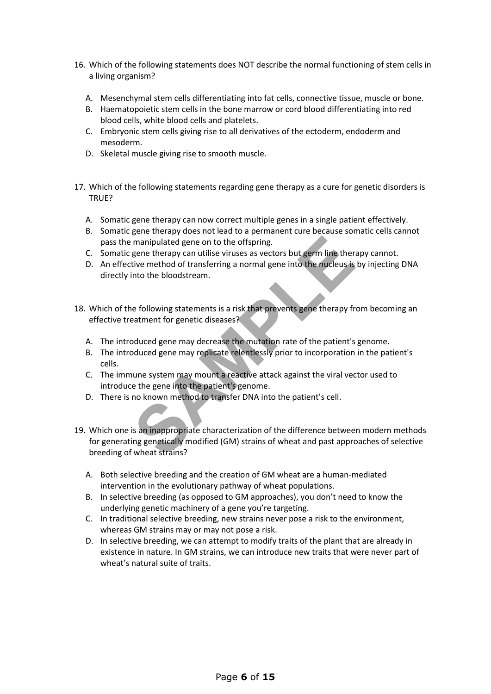- 16. Which of the following statements does NOT describe the normal functioning of stem cells in a living organism?
	- A. Mesenchymal stem cells differentiating into fat cells, connective tissue, muscle or bone.
	- B. Haematopoietic stem cells in the bone marrow or cord blood differentiating into red blood cells, white blood cells and platelets.
	- C. Embryonic stem cells giving rise to all derivatives of the ectoderm, endoderm and mesoderm.
	- D. Skeletal muscle giving rise to smooth muscle.
- 17. Which of the following statements regarding gene therapy as a cure for genetic disorders is TRUE?
	- A. Somatic gene therapy can now correct multiple genes in a single patient effectively.
	- B. Somatic gene therapy does not lead to a permanent cure because somatic cells cannot pass the manipulated gene on to the offspring.
	- C. Somatic gene therapy can utilise viruses as vectors but germ line therapy cannot.
	- D. An effective method of transferring a normal gene into the nucleus is by injecting DNA directly into the bloodstream.
- 18. Which of the following statements is a risk that prevents gene therapy from becoming an effective treatment for genetic diseases?
	- A. The introduced gene may decrease the mutation rate of the patient's genome.
	- B. The introduced gene may replicate relentlessly prior to incorporation in the patient's cells.
	- C. The immune system may mount a reactive attack against the viral vector used to introduce the gene into the patient's genome.
	- D. There is no known method to transfer DNA into the patient's cell.
- manipulated gene on to the offspring.<br>
gene therapy can utilise viruses as vectors but germ line ther<br>
tive method of transferring a normal gene into the nucleus is<br>
nto the bloodstream.<br>
e following statements is a risk t 19. Which one is an inappropriate characterization of the difference between modern methods for generating genetically modified (GM) strains of wheat and past approaches of selective breeding of wheat strains?
	- A. Both selective breeding and the creation of GM wheat are a human-mediated intervention in the evolutionary pathway of wheat populations.
	- B. In selective breeding (as opposed to GM approaches), you don't need to know the underlying genetic machinery of a gene you're targeting.
	- C. In traditional selective breeding, new strains never pose a risk to the environment, whereas GM strains may or may not pose a risk.
	- D. In selective breeding, we can attempt to modify traits of the plant that are already in existence in nature. In GM strains, we can introduce new traits that were never part of wheat's natural suite of traits.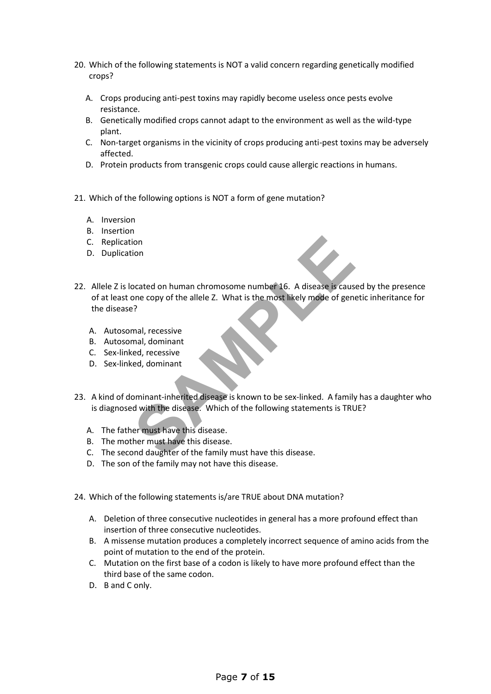- 20. Which of the following statements is NOT a valid concern regarding genetically modified crops?
	- A. Crops producing anti-pest toxins may rapidly become useless once pests evolve resistance.
	- B. Genetically modified crops cannot adapt to the environment as well as the wild-type plant.
	- C. Non-target organisms in the vicinity of crops producing anti-pest toxins may be adversely affected.
	- D. Protein products from transgenic crops could cause allergic reactions in humans.
- 21. Which of the following options is NOT a form of gene mutation?
	- A. Inversion
	- B. Insertion
	- C. Replication
	- D. Duplication
- ion<br>
boated on human chromosome number 16. A disease is caus<br>
one copy of the allele Z. What is the most likely mode of gene<br>
<sup>2</sup><br>
mal, recessive<br>
ed, dominant<br>
ed, recessive<br>
ed, dominant<br>
pominant-inherited disease is kn 22. Allele Z is located on human chromosome number 16. A disease is caused by the presence of at least one copy of the allele Z. What is the most likely mode of genetic inheritance for the disease?
	- A. Autosomal, recessive
	- B. Autosomal, dominant
	- C. Sex-linked, recessive
	- D. Sex-linked, dominant
- 23. A kind of dominant-inherited disease is known to be sex-linked. A family has a daughter who is diagnosed with the disease. Which of the following statements is TRUE?
	- A. The father must have this disease.
	- B. The mother must have this disease.
	- C. The second daughter of the family must have this disease.
	- D. The son of the family may not have this disease.
- 24. Which of the following statements is/are TRUE about DNA mutation?
	- A. Deletion of three consecutive nucleotides in general has a more profound effect than insertion of three consecutive nucleotides.
	- B. A missense mutation produces a completely incorrect sequence of amino acids from the point of mutation to the end of the protein.
	- C. Mutation on the first base of a codon is likely to have more profound effect than the third base of the same codon.
	- D. B and C only.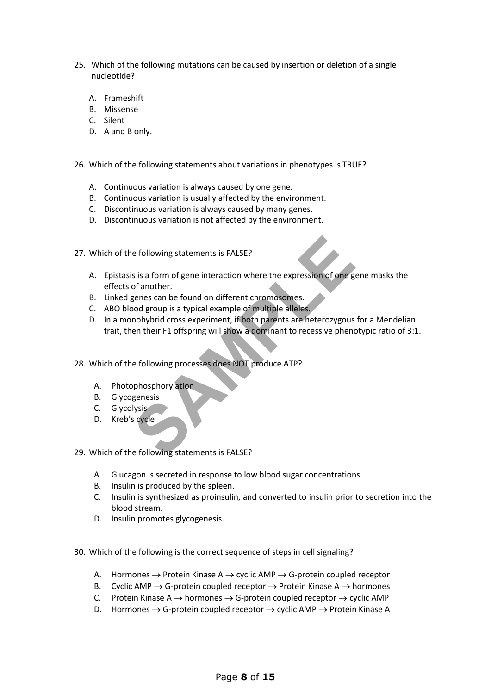- 25. Which of the following mutations can be caused by insertion or deletion of a single nucleotide?
	- A. Frameshift
	- B. Missense
	- C. Silent
	- D. A and B only.
- 26. Which of the following statements about variations in phenotypes is TRUE?
	- A. Continuous variation is always caused by one gene.
	- B. Continuous variation is usually affected by the environment.
	- C. Discontinuous variation is always caused by many genes.
	- D. Discontinuous variation is not affected by the environment.
- 27. Which of the following statements is FALSE?
- Example to the end of general statements is FALSE?<br>
Set is a form of general interaction where the expression of one got another.<br>
Senses can be found on different chromosomes.<br>
Sood group is a typical example of multiple A. Epistasis is a form of gene interaction where the expression of one gene masks the effects of another.
	- B. Linked genes can be found on different chromosomes.
	- C. ABO blood group is a typical example of multiple alleles.
	- D. In a monohybrid cross experiment, if both parents are heterozygous for a Mendelian trait, then their F1 offspring will show a dominant to recessive phenotypic ratio of 3:1.
- 28. Which of the following processes does NOT produce ATP?
	- A. Photophosphorylation
	- B. Glycogenesis
	- C. Glycolysis
	- D. Kreb's cycle

29. Which of the following statements is FALSE?

- A. Glucagon is secreted in response to low blood sugar concentrations.
- B. Insulin is produced by the spleen.
- C. Insulin is synthesized as proinsulin, and converted to insulin prior to secretion into the blood stream.
- D. Insulin promotes glycogenesis.
- 30. Which of the following is the correct sequence of steps in cell signaling?
	- A. Hormones  $\rightarrow$  Protein Kinase A  $\rightarrow$  cyclic AMP  $\rightarrow$  G-protein coupled receptor
	- B. Cyclic AMP  $\rightarrow$  G-protein coupled receptor  $\rightarrow$  Protein Kinase A  $\rightarrow$  hormones
	- C. Protein Kinase  $A \rightarrow$  hormones  $\rightarrow$  G-protein coupled receptor  $\rightarrow$  cyclic AMP
	- D. Hormones  $\rightarrow$  G-protein coupled receptor  $\rightarrow$  cyclic AMP  $\rightarrow$  Protein Kinase A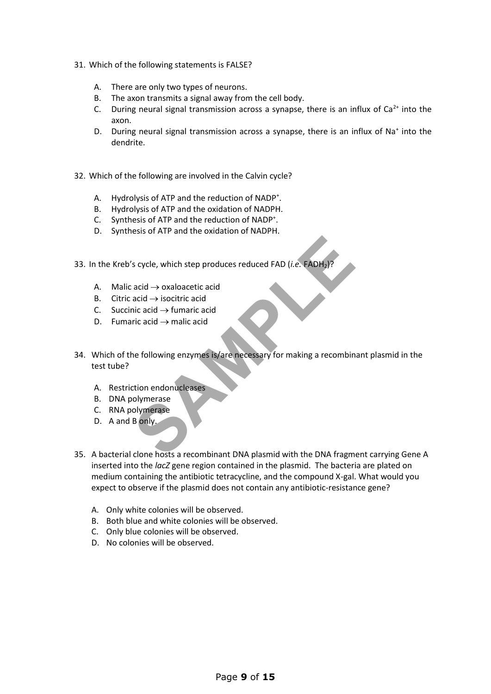- 31. Which of the following statements is FALSE?
	- A. There are only two types of neurons.
	- B. The axon transmits a signal away from the cell body.
	- C. During neural signal transmission across a synapse, there is an influx of  $Ca<sup>2+</sup>$  into the axon.
	- D. During neural signal transmission across a synapse, there is an influx of Na<sup>+</sup> into the dendrite.
- 32. Which of the following are involved in the Calvin cycle?
	- A. Hydrolysis of ATP and the reduction of NADP<sup>+</sup>.
	- B. Hydrolysis of ATP and the oxidation of NADPH.
	- C. Synthesis of ATP and the reduction of NADP<sup>+</sup> .
	- D. Synthesis of ATP and the oxidation of NADPH.
- 33. In the Kreb's cycle, which step produces reduced FAD (*i.e.* FADH<sub>2</sub>)?
	- A. Malic acid  $\rightarrow$  oxaloacetic acid
	- B. Citric acid  $\rightarrow$  isocitric acid
	- C. Succinic acid  $\rightarrow$  fumaric acid
	- D. Fumaric acid  $\rightarrow$  malic acid
- s cycle, which step produces reduced FAD (*i.e.* FADH<sub>2</sub>)?<br>
acid → oxaloacetic acid<br>
acid → isocitric acid<br>
ric acid → fumaric acid<br>
ric acid → malic acid<br>
ne following enzymes is/are necessary for making a recombin<br>
efol 34. Which of the following enzymes is/are necessary for making a recombinant plasmid in the test tube?
	- A. Restriction endonucleases
	- B. DNA polymerase
	- C. RNA polymerase
	- D. A and B only.
- 35. A bacterial clone hosts a recombinant DNA plasmid with the DNA fragment carrying Gene A inserted into the *lacZ* gene region contained in the plasmid. The bacteria are plated on medium containing the antibiotic tetracycline, and the compound X-gal. What would you expect to observe if the plasmid does not contain any antibiotic-resistance gene?
	- A. Only white colonies will be observed.
	- B. Both blue and white colonies will be observed.
	- C. Only blue colonies will be observed.
	- D. No colonies will be observed.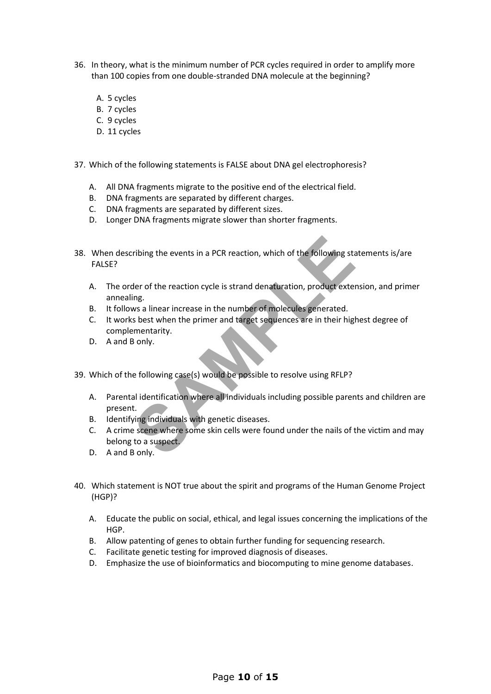- 36. In theory, what is the minimum number of PCR cycles required in order to amplify more than 100 copies from one double-stranded DNA molecule at the beginning?
	- A. 5 cycles
	- B. 7 cycles
	- C. 9 cycles
	- D. 11 cycles
- 37. Which of the following statements is FALSE about DNA gel electrophoresis?
	- A. All DNA fragments migrate to the positive end of the electrical field.
	- B. DNA fragments are separated by different charges.
	- C. DNA fragments are separated by different sizes.
	- D. Longer DNA fragments migrate slower than shorter fragments.
- 38. When describing the events in a PCR reaction, which of the following statements is/are FALSE?
	- A. The order of the reaction cycle is strand denaturation, product extension, and primer annealing.
	- B. It follows a linear increase in the number of molecules generated.
	- C. It works best when the primer and target sequences are in their highest degree of complementarity.
	- D. A and B only.
- 39. Which of the following case(s) would be possible to resolve using RFLP?
	- A. Parental identification where all individuals including possible parents and children are present.
	- B. Identifying individuals with genetic diseases.
- Friding the events in a PCR reaction, which of the following state of the reaction cycle is strand denaturation, product extering.<br>
Shows a linear increase in the number of molecules generated.<br>
Shows a linear increase in C. A crime scene where some skin cells were found under the nails of the victim and may belong to a suspect.
	- D. A and B only.
- 40. Which statement is NOT true about the spirit and programs of the Human Genome Project (HGP)?
	- A. Educate the public on social, ethical, and legal issues concerning the implications of the HGP.
	- B. Allow patenting of genes to obtain further funding for sequencing research.
	- C. Facilitate genetic testing for improved diagnosis of diseases.
	- D. Emphasize the use of bioinformatics and biocomputing to mine genome databases.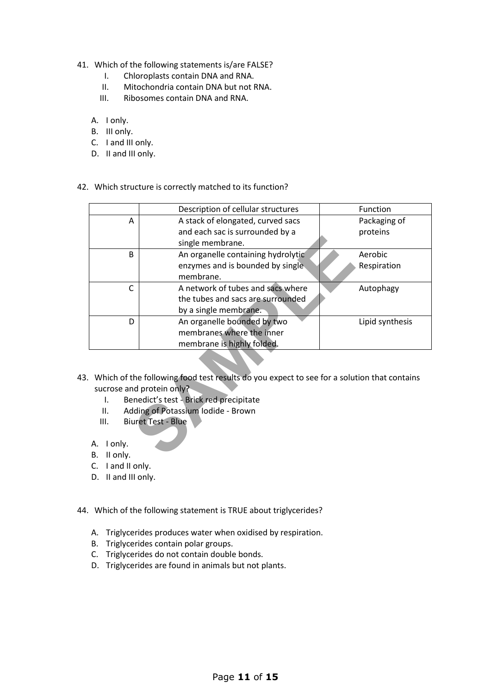- 41. Which of the following statements is/are FALSE?
	- I. Chloroplasts contain DNA and RNA.
	- II. Mitochondria contain DNA but not RNA.
	- III. Ribosomes contain DNA and RNA.
	- A. I only.
	- B. III only.
	- C. I and III only.
	- D. II and III only.
- 42. Which structure is correctly matched to its function?

|                                                         |                                   | Description of cellular structures                                                         | Function        |  |  |  |  |  |  |
|---------------------------------------------------------|-----------------------------------|--------------------------------------------------------------------------------------------|-----------------|--|--|--|--|--|--|
|                                                         | A                                 | A stack of elongated, curved sacs                                                          | Packaging of    |  |  |  |  |  |  |
|                                                         |                                   | and each sac is surrounded by a                                                            | proteins        |  |  |  |  |  |  |
|                                                         |                                   | single membrane.                                                                           |                 |  |  |  |  |  |  |
|                                                         | B                                 | An organelle containing hydrolytic                                                         | Aerobic         |  |  |  |  |  |  |
|                                                         |                                   | enzymes and is bounded by single.                                                          | Respiration     |  |  |  |  |  |  |
|                                                         |                                   | membrane.                                                                                  |                 |  |  |  |  |  |  |
|                                                         | C                                 | A network of tubes and sacs where                                                          | Autophagy       |  |  |  |  |  |  |
|                                                         |                                   | the tubes and sacs are surrounded                                                          |                 |  |  |  |  |  |  |
|                                                         |                                   | by a single membrane.                                                                      |                 |  |  |  |  |  |  |
|                                                         | D                                 | An organelle bounded by two                                                                | Lipid synthesis |  |  |  |  |  |  |
|                                                         |                                   | membranes where the inner                                                                  |                 |  |  |  |  |  |  |
|                                                         |                                   | membrane is highly folded.                                                                 |                 |  |  |  |  |  |  |
|                                                         |                                   |                                                                                            |                 |  |  |  |  |  |  |
|                                                         |                                   |                                                                                            |                 |  |  |  |  |  |  |
|                                                         |                                   | Which of the following food test results do you expect to see for a solution that contains |                 |  |  |  |  |  |  |
|                                                         |                                   | sucrose and protein only?                                                                  |                 |  |  |  |  |  |  |
| Benedict's test - Brick red precipitate<br>$\mathsf{L}$ |                                   |                                                                                            |                 |  |  |  |  |  |  |
|                                                         | ΙΙ.                               | Adding of Potassium Iodide - Brown                                                         |                 |  |  |  |  |  |  |
|                                                         | <b>Biuret Test - Blue</b><br>III. |                                                                                            |                 |  |  |  |  |  |  |
|                                                         |                                   |                                                                                            |                 |  |  |  |  |  |  |
|                                                         | I only.<br>А.                     |                                                                                            |                 |  |  |  |  |  |  |
|                                                         | II only.<br>В.                    |                                                                                            |                 |  |  |  |  |  |  |

- 43. Which of the following food test results do you expect to see for a solution that contains sucrose and protein only?
	- I. Benedict's test Brick red precipitate
	- II. Adding of Potassium Iodide Brown
	- III. Biuret Test Blue
	- A. I only.
	- B. II only.
	- C. I and II only.
	- D. II and III only.
- 44. Which of the following statement is TRUE about triglycerides?
	- A. Triglycerides produces water when oxidised by respiration.
	- B. Triglycerides contain polar groups.
	- C. Triglycerides do not contain double bonds.
	- D. Triglycerides are found in animals but not plants.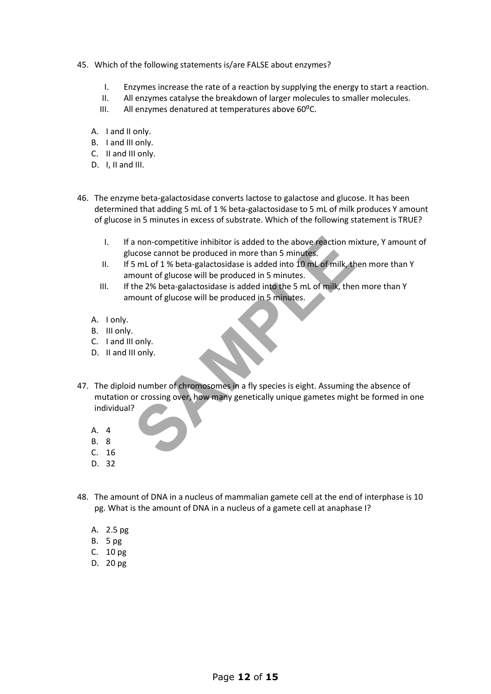- 45. Which of the following statements is/are FALSE about enzymes?
	- I. Enzymes increase the rate of a reaction by supplying the energy to start a reaction.
	- II. All enzymes catalyse the breakdown of larger molecules to smaller molecules.
	- III. All enzymes denatured at temperatures above 60°C.
	- A. I and II only.
	- B. I and III only.
	- C. II and III only.
	- D. I, II and III.
- 46. The enzyme beta-galactosidase converts lactose to galactose and glucose. It has been determined that adding 5 mL of 1 % beta-galactosidase to 5 mL of milk produces Y amount of glucose in 5 minutes in excess of substrate. Which of the following statement is TRUE?
	- I. If a non-competitive inhibitor is added to the above reaction mixture, Y amount of glucose cannot be produced in more than 5 minutes.
	- II. If 5 mL of 1 % beta-galactosidase is added into 10 mL of milk, then more than Y amount of glucose will be produced in 5 minutes.
	- III. If the 2% beta-galactosidase is added into the 5 mL of milk, then more than Y amount of glucose will be produced in 5 minutes.
	- A. I only.
	- B. III only.
	- C. I and III only.
	- D. II and III only.
- a non-competitive inhibitor is added to the above reaction m<br>acose cannot be produced in more than 5 minutes.<br>
5 mL of 1 % beta-galactosidase is added into 10 mL of milk, the<br>
nount of glucose will be produced in 5 minutes 47. The diploid number of chromosomes in a fly species is eight. Assuming the absence of mutation or crossing over, how many genetically unique gametes might be formed in one individual?
	- A. 4
	- B. 8
	- C. 16
	- D. 32
- 48. The amount of DNA in a nucleus of mammalian gamete cell at the end of interphase is 10 pg. What is the amount of DNA in a nucleus of a gamete cell at anaphase I?
	- A. 2.5 pg
	- B. 5 pg
	- C. 10 pg
	- D. 20 pg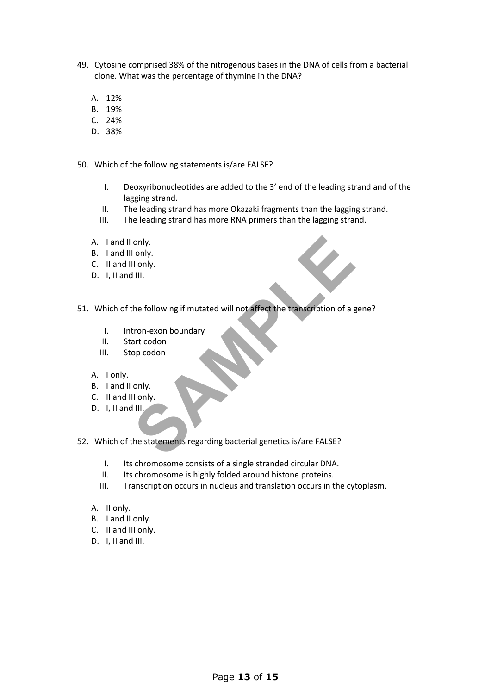- 49. Cytosine comprised 38% of the nitrogenous bases in the DNA of cells from a bacterial clone. What was the percentage of thymine in the DNA?
	- A. 12%
	- B. 19%
	- C. 24%
	- D. 38%
- 50. Which of the following statements is/are FALSE?
	- I. Deoxyribonucleotides are added to the 3' end of the leading strand and of the lagging strand.
	- II. The leading strand has more Okazaki fragments than the lagging strand.
	- III. The leading strand has more RNA primers than the lagging strand.
	- A. I and II only.
	- B. I and III only.
	- C. II and III only.
	- D. I, II and III.
- only.<br>
Il only.<br>
Il only.<br>
Il only.<br>
the following if mutated will not affect the transcription of a g<br>
tron-exon boundary<br>
art codon<br>
only.<br>
Il only.<br>
Il only.<br>
Il only.<br>
Il inly. 51. Which of the following if mutated will not affect the transcription of a gene?
	- I. Intron-exon boundary
	- II. Start codon
	- III. Stop codon
	- A. I only.
	- B. I and II only.
	- C. II and III only.
	- D. I, II and III.
- 52. Which of the statements regarding bacterial genetics is/are FALSE?
	- I. Its chromosome consists of a single stranded circular DNA.
	- II. Its chromosome is highly folded around histone proteins.
	- III. Transcription occurs in nucleus and translation occurs in the cytoplasm.
	- A. II only.
	- B. I and II only.
	- C. II and III only.
	- D. I. II and III.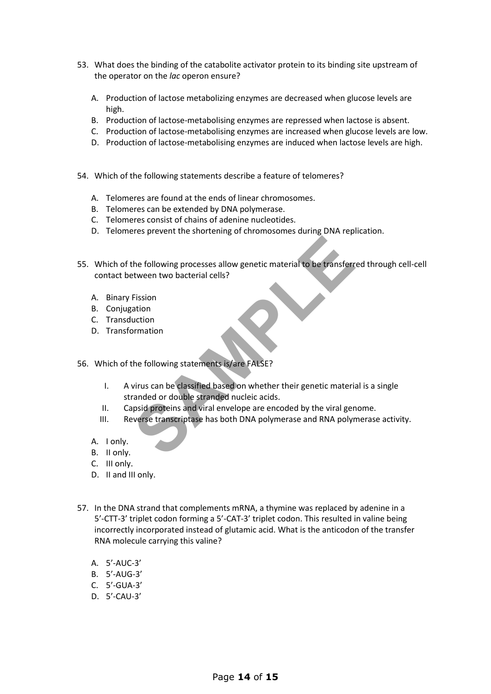- 53. What does the binding of the catabolite activator protein to its binding site upstream of the operator on the *lac* operon ensure?
	- A. Production of lactose metabolizing enzymes are decreased when glucose levels are high.
	- B. Production of lactose-metabolising enzymes are repressed when lactose is absent.
	- C. Production of lactose-metabolising enzymes are increased when glucose levels are low.
	- D. Production of lactose-metabolising enzymes are induced when lactose levels are high.
- 54. Which of the following statements describe a feature of telomeres?
	- A. Telomeres are found at the ends of linear chromosomes.
	- B. Telomeres can be extended by DNA polymerase.
	- C. Telomeres consist of chains of adenine nucleotides.
	- D. Telomeres prevent the shortening of chromosomes during DNA replication.
- the following processes allow genetic material to be transferr<br>
Etission<br>
Fission<br>
ation<br>
ation<br>
stranged computed and the processes allow genetic material to be transferr<br>
Fission<br>
ation<br>
stranged or double stranged on wh 55. Which of the following processes allow genetic material to be transferred through cell-cell contact between two bacterial cells?
	- A. Binary Fission
	- B. Conjugation
	- C. Transduction
	- D. Transformation
- 56. Which of the following statements is/are FALSE?
	- I. A virus can be classified based on whether their genetic material is a single stranded or double stranded nucleic acids.
	- II. Capsid proteins and viral envelope are encoded by the viral genome.
	- III. Reverse transcriptase has both DNA polymerase and RNA polymerase activity.
	- A. I only.
	- B. II only.
	- C. III only.
	- D. II and III only.
- 57. In the DNA strand that complements mRNA, a thymine was replaced by adenine in a 5'-CTT-3' triplet codon forming a 5'-CAT-3' triplet codon. This resulted in valine being incorrectly incorporated instead of glutamic acid. What is the anticodon of the transfer RNA molecule carrying this valine?
	- A. 5'-AUC-3'
	- B. 5'-AUG-3'
	- C. 5'-GUA-3'
	- D. 5'-CAU-3'